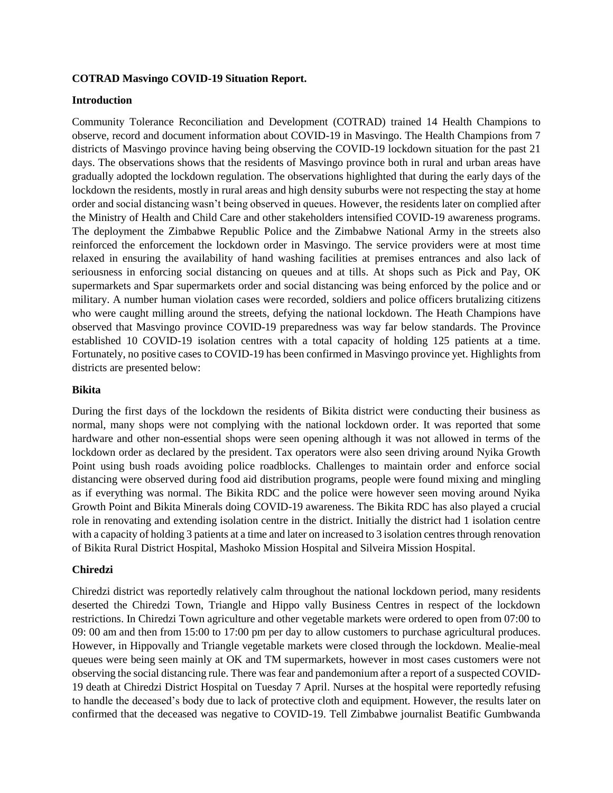### **COTRAD Masvingo COVID-19 Situation Report.**

#### **Introduction**

Community Tolerance Reconciliation and Development (COTRAD) trained 14 Health Champions to observe, record and document information about COVID-19 in Masvingo. The Health Champions from 7 districts of Masvingo province having being observing the COVID-19 lockdown situation for the past 21 days. The observations shows that the residents of Masvingo province both in rural and urban areas have gradually adopted the lockdown regulation. The observations highlighted that during the early days of the lockdown the residents, mostly in rural areas and high density suburbs were not respecting the stay at home order and social distancing wasn't being observed in queues. However, the residents later on complied after the Ministry of Health and Child Care and other stakeholders intensified COVID-19 awareness programs. The deployment the Zimbabwe Republic Police and the Zimbabwe National Army in the streets also reinforced the enforcement the lockdown order in Masvingo. The service providers were at most time relaxed in ensuring the availability of hand washing facilities at premises entrances and also lack of seriousness in enforcing social distancing on queues and at tills. At shops such as Pick and Pay, OK supermarkets and Spar supermarkets order and social distancing was being enforced by the police and or military. A number human violation cases were recorded, soldiers and police officers brutalizing citizens who were caught milling around the streets, defying the national lockdown. The Heath Champions have observed that Masvingo province COVID-19 preparedness was way far below standards. The Province established 10 COVID-19 isolation centres with a total capacity of holding 125 patients at a time. Fortunately, no positive cases to COVID-19 has been confirmed in Masvingo province yet. Highlights from districts are presented below:

#### **Bikita**

During the first days of the lockdown the residents of Bikita district were conducting their business as normal, many shops were not complying with the national lockdown order. It was reported that some hardware and other non-essential shops were seen opening although it was not allowed in terms of the lockdown order as declared by the president. Tax operators were also seen driving around Nyika Growth Point using bush roads avoiding police roadblocks. Challenges to maintain order and enforce social distancing were observed during food aid distribution programs, people were found mixing and mingling as if everything was normal. The Bikita RDC and the police were however seen moving around Nyika Growth Point and Bikita Minerals doing COVID-19 awareness. The Bikita RDC has also played a crucial role in renovating and extending isolation centre in the district. Initially the district had 1 isolation centre with a capacity of holding 3 patients at a time and later on increased to 3 isolation centres through renovation of Bikita Rural District Hospital, Mashoko Mission Hospital and Silveira Mission Hospital.

### **Chiredzi**

Chiredzi district was reportedly relatively calm throughout the national lockdown period, many residents deserted the Chiredzi Town, Triangle and Hippo vally Business Centres in respect of the lockdown restrictions. In Chiredzi Town agriculture and other vegetable markets were ordered to open from 07:00 to 09: 00 am and then from 15:00 to 17:00 pm per day to allow customers to purchase agricultural produces. However, in Hippovally and Triangle vegetable markets were closed through the lockdown. Mealie-meal queues were being seen mainly at OK and TM supermarkets, however in most cases customers were not observing the social distancing rule. There was fear and pandemonium after a report of a suspected COVID-19 death at Chiredzi District Hospital on Tuesday 7 April. Nurses at the hospital were reportedly refusing to handle the deceased's body due to lack of protective cloth and equipment. However, the results later on confirmed that the deceased was negative to COVID-19. Tell Zimbabwe journalist Beatific Gumbwanda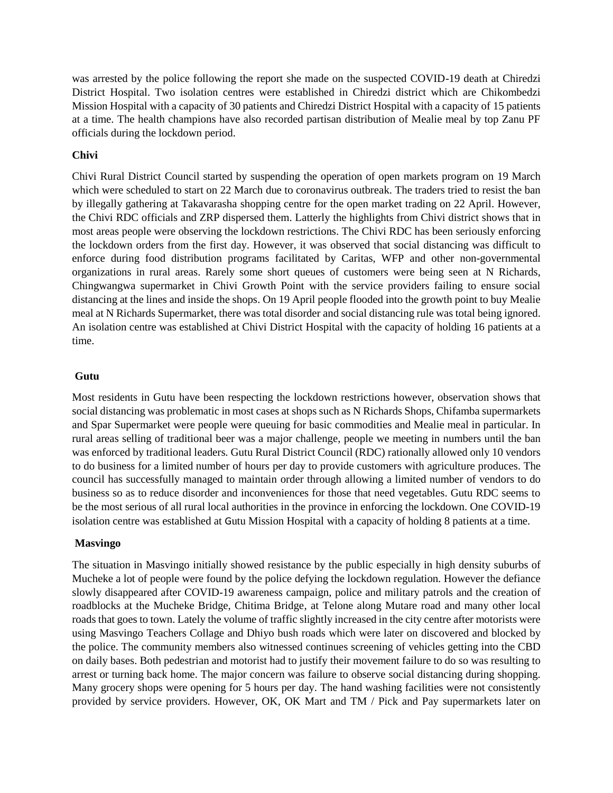was arrested by the police following the report she made on the suspected COVID-19 death at Chiredzi District Hospital. Two isolation centres were established in Chiredzi district which are Chikombedzi Mission Hospital with a capacity of 30 patients and Chiredzi District Hospital with a capacity of 15 patients at a time. The health champions have also recorded partisan distribution of Mealie meal by top Zanu PF officials during the lockdown period.

### **Chivi**

Chivi Rural District Council started by suspending the operation of open markets program on 19 March which were scheduled to start on 22 March due to coronavirus outbreak. The traders tried to resist the ban by illegally gathering at Takavarasha shopping centre for the open market trading on 22 April. However, the Chivi RDC officials and ZRP dispersed them. Latterly the highlights from Chivi district shows that in most areas people were observing the lockdown restrictions. The Chivi RDC has been seriously enforcing the lockdown orders from the first day. However, it was observed that social distancing was difficult to enforce during food distribution programs facilitated by Caritas, WFP and other non-governmental organizations in rural areas. Rarely some short queues of customers were being seen at N Richards, Chingwangwa supermarket in Chivi Growth Point with the service providers failing to ensure social distancing at the lines and inside the shops. On 19 April people flooded into the growth point to buy Mealie meal at N Richards Supermarket, there was total disorder and social distancing rule was total being ignored. An isolation centre was established at Chivi District Hospital with the capacity of holding 16 patients at a time.

### **Gutu**

Most residents in Gutu have been respecting the lockdown restrictions however, observation shows that social distancing was problematic in most cases at shops such as N Richards Shops, Chifamba supermarkets and Spar Supermarket were people were queuing for basic commodities and Mealie meal in particular. In rural areas selling of traditional beer was a major challenge, people we meeting in numbers until the ban was enforced by traditional leaders. Gutu Rural District Council (RDC) rationally allowed only 10 vendors to do business for a limited number of hours per day to provide customers with agriculture produces. The council has successfully managed to maintain order through allowing a limited number of vendors to do business so as to reduce disorder and inconveniences for those that need vegetables. Gutu RDC seems to be the most serious of all rural local authorities in the province in enforcing the lockdown. One COVID-19 isolation centre was established at Gutu Mission Hospital with a capacity of holding 8 patients at a time.

## **Masvingo**

The situation in Masvingo initially showed resistance by the public especially in high density suburbs of Mucheke a lot of people were found by the police defying the lockdown regulation. However the defiance slowly disappeared after COVID-19 awareness campaign, police and military patrols and the creation of roadblocks at the Mucheke Bridge, Chitima Bridge, at Telone along Mutare road and many other local roads that goes to town. Lately the volume of traffic slightly increased in the city centre after motorists were using Masvingo Teachers Collage and Dhiyo bush roads which were later on discovered and blocked by the police. The community members also witnessed continues screening of vehicles getting into the CBD on daily bases. Both pedestrian and motorist had to justify their movement failure to do so was resulting to arrest or turning back home. The major concern was failure to observe social distancing during shopping. Many grocery shops were opening for 5 hours per day. The hand washing facilities were not consistently provided by service providers. However, OK, OK Mart and TM / Pick and Pay supermarkets later on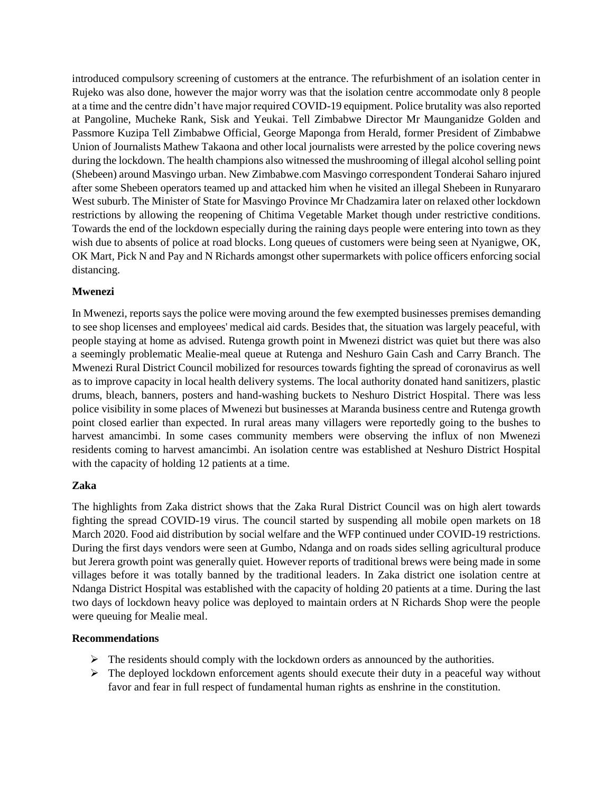introduced compulsory screening of customers at the entrance. The refurbishment of an isolation center in Rujeko was also done, however the major worry was that the isolation centre accommodate only 8 people at a time and the centre didn't have major required COVID-19 equipment. Police brutality was also reported at Pangoline, Mucheke Rank, Sisk and Yeukai. Tell Zimbabwe Director Mr Maunganidze Golden and Passmore Kuzipa Tell Zimbabwe Official, George Maponga from Herald, former President of Zimbabwe Union of Journalists Mathew Takaona and other local journalists were arrested by the police covering news during the lockdown. The health champions also witnessed the mushrooming of illegal alcohol selling point (Shebeen) around Masvingo urban. New Zimbabwe.com Masvingo correspondent Tonderai Saharo injured after some Shebeen operators teamed up and attacked him when he visited an illegal Shebeen in Runyararo West suburb. The Minister of State for Masvingo Province Mr Chadzamira later on relaxed other lockdown restrictions by allowing the reopening of Chitima Vegetable Market though under restrictive conditions. Towards the end of the lockdown especially during the raining days people were entering into town as they wish due to absents of police at road blocks. Long queues of customers were being seen at Nyanigwe, OK, OK Mart, Pick N and Pay and N Richards amongst other supermarkets with police officers enforcing social distancing.

## **Mwenezi**

In Mwenezi, reports says the police were moving around the few exempted businesses premises demanding to see shop licenses and employees' medical aid cards. Besides that, the situation was largely peaceful, with people staying at home as advised. Rutenga growth point in Mwenezi district was quiet but there was also a seemingly problematic Mealie-meal queue at Rutenga and Neshuro Gain Cash and Carry Branch. The Mwenezi Rural District Council mobilized for resources towards fighting the spread of coronavirus as well as to improve capacity in local health delivery systems. The local authority donated hand sanitizers, plastic drums, bleach, banners, posters and hand-washing buckets to Neshuro District Hospital. There was less police visibility in some places of Mwenezi but businesses at Maranda business centre and Rutenga growth point closed earlier than expected. In rural areas many villagers were reportedly going to the bushes to harvest amancimbi. In some cases community members were observing the influx of non Mwenezi residents coming to harvest amancimbi. An isolation centre was established at Neshuro District Hospital with the capacity of holding 12 patients at a time.

### **Zaka**

The highlights from Zaka district shows that the Zaka Rural District Council was on high alert towards fighting the spread COVID-19 virus. The council started by suspending all mobile open markets on 18 March 2020. Food aid distribution by social welfare and the WFP continued under COVID-19 restrictions. During the first days vendors were seen at Gumbo, Ndanga and on roads sides selling agricultural produce but Jerera growth point was generally quiet. However reports of traditional brews were being made in some villages before it was totally banned by the traditional leaders. In Zaka district one isolation centre at Ndanga District Hospital was established with the capacity of holding 20 patients at a time. During the last two days of lockdown heavy police was deployed to maintain orders at N Richards Shop were the people were queuing for Mealie meal.

### **Recommendations**

- $\triangleright$  The residents should comply with the lockdown orders as announced by the authorities.
- $\triangleright$  The deployed lockdown enforcement agents should execute their duty in a peaceful way without favor and fear in full respect of fundamental human rights as enshrine in the constitution.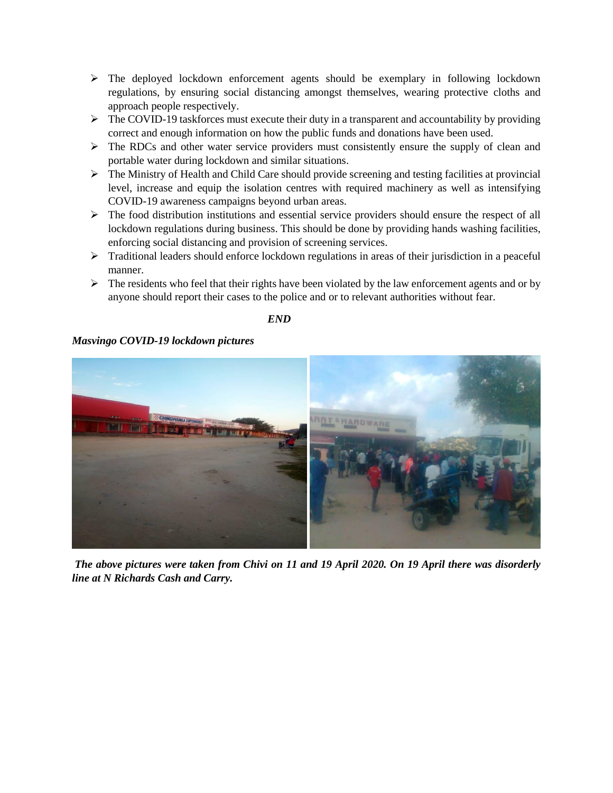- $\triangleright$  The deployed lockdown enforcement agents should be exemplary in following lockdown regulations, by ensuring social distancing amongst themselves, wearing protective cloths and approach people respectively.
- $\triangleright$  The COVID-19 taskforces must execute their duty in a transparent and accountability by providing correct and enough information on how the public funds and donations have been used.
- $\triangleright$  The RDCs and other water service providers must consistently ensure the supply of clean and portable water during lockdown and similar situations.
- The Ministry of Health and Child Care should provide screening and testing facilities at provincial level, increase and equip the isolation centres with required machinery as well as intensifying COVID-19 awareness campaigns beyond urban areas.
- $\triangleright$  The food distribution institutions and essential service providers should ensure the respect of all lockdown regulations during business. This should be done by providing hands washing facilities, enforcing social distancing and provision of screening services.
- $\triangleright$  Traditional leaders should enforce lockdown regulations in areas of their jurisdiction in a peaceful manner.
- $\triangleright$  The residents who feel that their rights have been violated by the law enforcement agents and or by anyone should report their cases to the police and or to relevant authorities without fear.

 *END* 

# *Masvingo COVID-19 lockdown pictures*



*The above pictures were taken from Chivi on 11 and 19 April 2020. On 19 April there was disorderly line at N Richards Cash and Carry.*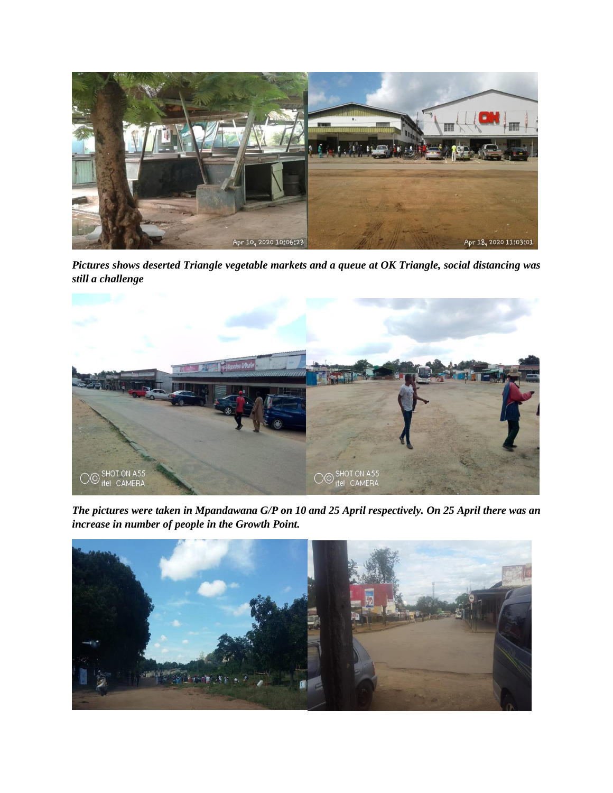

*Pictures shows deserted Triangle vegetable markets and a queue at OK Triangle, social distancing was still a challenge* 



*The pictures were taken in Mpandawana G/P on 10 and 25 April respectively. On 25 April there was an increase in number of people in the Growth Point.*